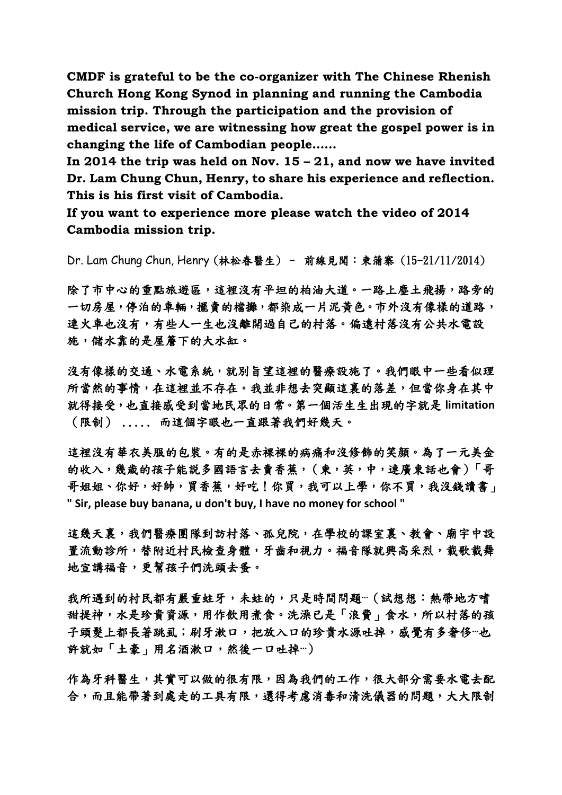**CMDF is grateful to be the co-organizer with The Chinese Rhenish Church Hong Kong Synod in planning and running the Cambodia mission trip. Through the participation and the provision of medical service, we are witnessing how great the gospel power is in changing the life of Cambodian people……**

**In 2014 the trip was held on Nov. 15 – 21, and now we have invited Dr. Lam Chung Chun, Henry, to share his experience and reflection. This is his first visit of Cambodia.**

**If you want to experience more please watch the video of 2014 Cambodia mission trip.**

Dr. Lam Chung Chun, Henry (林松春醫生) – 前線見聞:柬蒲寨 (15-21/11/2014)

除了市中心的重點旅遊區,這裡沒有平坦的柏油大道。一路上塵土飛揚,路旁的 一切房屋,停泊的車輛,擺賣的檔攤,都染成一片泥黃色。市外沒有像樣的道路, 連火車也沒有,有些人一生也沒離開過自己的村落。偏遠村落沒有公共水電設 施,儲水靠的是屋簷下的大水缸。

沒有像樣的交通、水電系統,就別旨望這裡的醫療設施了。我們眼中一些看似理 所當然的事情,在這裡並不存在。我並非想去突顯這裏的落差,但當你身在其中 就得接受,也直接感受到當地民眾的日常。第一個活生生出現的字就是 **limitation** (限制) ..... 而這個字眼也一直跟著我們好幾天。

這裡沒有華衣美服的包裝。有的是赤裸裸的病痛和沒修飾的笑顏。為了一元美金 的收入,幾歲的孩子能説多國語言去賣香蕉,(柬,英,中,連廣東話也會)「哥 哥姐姐、你好,好帥,買香蕉,好吃!你買,我可以上學,你不買,我沒錢讀書」 **" Sir, please buy banana, u don't buy, I have no money for school "**

這幾天裏,我們醫療團隊到訪村落、孤兒院,在學校的課室裏、教會、廟宇中設 置流動診所,替附近村民檢查身體,牙齒和視力。福音隊就興高采烈,載歌載舞 地宣講福音,更幫孩子們洗頭去蚤。

我所遇到的村民都有嚴重蛀牙,未蛀的,只是時間問題…(試想想:熱帶地方嗜 甜提神,水是珍貴資源,用作飲用煮食。洗澡已是「浪費」食水,所以村落的孩 子頭髮上都長著跳虱;刷牙漱口,把放入口的珍貴水源吐掉,感覺有多奢侈…也 許就如「土豪」用名酒漱口,然後一口吐掉…)

作為牙科醫生,其實可以做的很有限,因為我們的工作,很大部分需要水電去配 合,而且能帶著到處走的工具有限,還得考慮消毒和清洗儀器的問題,大大限制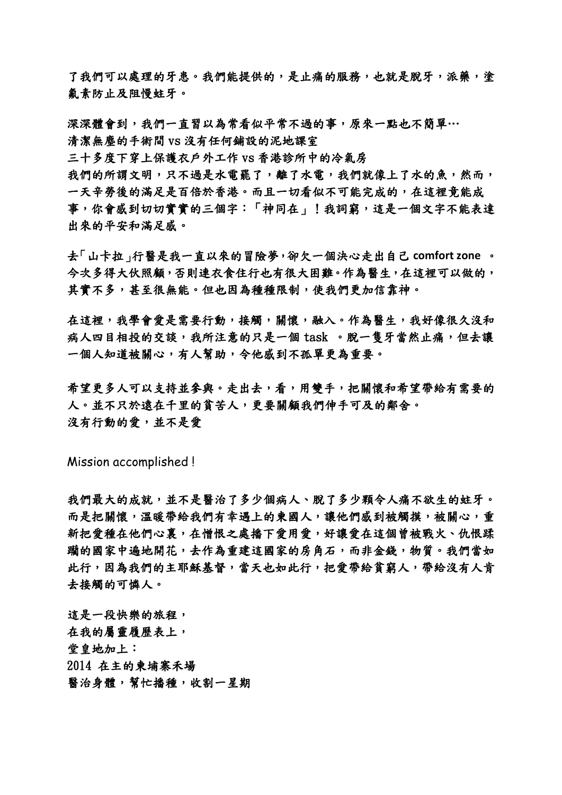了我們可以處理的牙患。我們能提供的,是止痛的服務,也就是脫牙,派藥,塗 氟素防止及阻慢蛀牙。

深深體會到,我們一直習以為常看似平常不過的事,原來一點也不簡單… 清潔無塵的手術間 vs 沒有任何鋪設的泥地課室 三十多度下穿上保護衣戶外工作 vs 香港診所中的冷氣房

我們的所謂文明,只不過是水電罷了,離了水電,我們就像上了水的魚,然而, 一天辛勞後的滿足是百倍於香港。而且一切看似不可能完成的,在這裡竟能成 事,你會感到切切實實的三個字:「神同在」!我詞窮,這是一個文字不能表達 出來的平安和滿足感。

去「山卡拉」行醫是我一直以來的冒險夢,卻欠一個決心走出自己 **comfort zone** 。 今次多得大伙照顧,否則連衣食住行也有很大困難。作為醫生,在這裡可以做的, 其實不多,甚至很無能。但也因為種種限制,使我們更加信靠神。

在這裡,我學會愛是需要行動,接觸,關懷,融入。作為醫生,我好像很久沒和 病人四目相投的交談,我所注意的只是一個 task 。脫一隻牙當然止痛,但去讓 一個人知道被關心,有人幫助,令他感到不孤單更為重要。

希望更多人可以支持並參與。走出去,看,用雙手,把關懷和希望帶給有需要的 人。並不只於遠在千里的貧苦人,更要關顧我們伸手可及的鄰舍。 沒有行動的愛,並不是愛

Mission accomplished !

我們最大的成就,並不是醫治了多少個病人、脫了多少顆令人痛不欲生的蛀牙。 而是把關懷,溫暖帶給我們有幸遇上的柬國人,讓他們感到被觸摸,被關心,重 新把愛種在他們心裏,在憎恨之處播下愛用愛,好讓愛在這個曾被戰火、仇恨蹂 職的國家中遍地開花,去作為重建這國家的房角石,而非金錢,物質。我們當如 此行,因為我們的主耶穌基督,當天也如此行,把愛帶給貧窮人,帶給沒有人肯 去接觸的可憐人。

這是一段快樂的旅程, 在我的屬靈履歷表上, 堂皇地加上: 2014 在主的柬埔寨禾場 醫治身體,幫忙播種,收割一星期